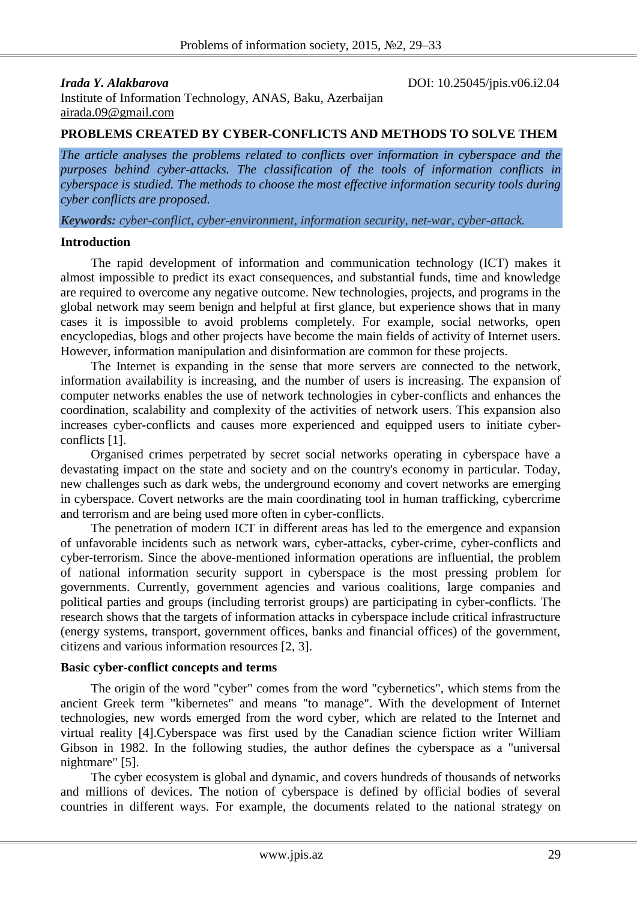*Irada Y. Alakbarova* DOI: 10.25045/jpis.v06.i2.04

Institute of Information Technology, ANAS, Baku, Azerbaijan [airada.09@gmail.com](mailto:2airada.09@gmail.com)

### **PROBLEMS CREATED BY CYBER-CONFLICTS AND METHODS TO SOLVE THEM**

*The article analyses the problems related to conflicts over information in cyberspace and the purposes behind cyber-attacks. The classification of the tools of information conflicts in cyberspace is studied. The methods to choose the most effective information security tools during cyber conflicts are proposed.*

*Keywords: cyber-conflict, cyber-environment, information security, net-war, cyber-attack.*

#### **Introduction**

The rapid development of information and communication technology (ICT) makes it almost impossible to predict its exact consequences, and substantial funds, time and knowledge are required to overcome any negative outcome. New technologies, projects, and programs in the global network may seem benign and helpful at first glance, but experience shows that in many cases it is impossible to avoid problems completely. For example, social networks, open encyclopedias, blogs and other projects have become the main fields of activity of Internet users. However, information manipulation and disinformation are common for these projects.

The Internet is expanding in the sense that more servers are connected to the network, information availability is increasing, and the number of users is increasing. The expansion of computer networks enables the use of network technologies in cyber-conflicts and enhances the coordination, scalability and complexity of the activities of network users. This expansion also increases cyber-conflicts and causes more experienced and equipped users to initiate cyberconflicts [1].

Organised crimes perpetrated by secret social networks operating in cyberspace have a devastating impact on the state and society and on the country's economy in particular. Today, new challenges such as dark webs, the underground economy and covert networks are emerging in cyberspace. Covert networks are the main coordinating tool in human trafficking, cybercrime and terrorism and are being used more often in cyber-conflicts.

The penetration of modern ICT in different areas has led to the emergence and expansion of unfavorable incidents such as network wars, cyber-attacks, cyber-crime, cyber-conflicts and cyber-terrorism. Since the above-mentioned information operations are influential, the problem of national information security support in cyberspace is the most pressing problem for governments. Currently, government agencies and various coalitions, large companies and political parties and groups (including terrorist groups) are participating in cyber-conflicts. The research shows that the targets of information attacks in cyberspace include critical infrastructure (energy systems, transport, government offices, banks and financial offices) of the government, citizens and various information resources [2, 3].

#### **Basic cyber-conflict concepts and terms**

The origin of the word "cyber" comes from the word "cybernetics", which stems from the ancient Greek term "kibernetes" and means "to manage". With the development of Internet technologies, new words emerged from the word cyber, which are related to the Internet and virtual reality [4].Cyberspace was first used by the Canadian science fiction writer William Gibson in 1982. In the following studies, the author defines the cyberspace as a "universal nightmare" [5].

The cyber ecosystem is global and dynamic, and covers hundreds of thousands of networks and millions of devices. The notion of cyberspace is defined by official bodies of several countries in different ways. For example, the documents related to the national strategy on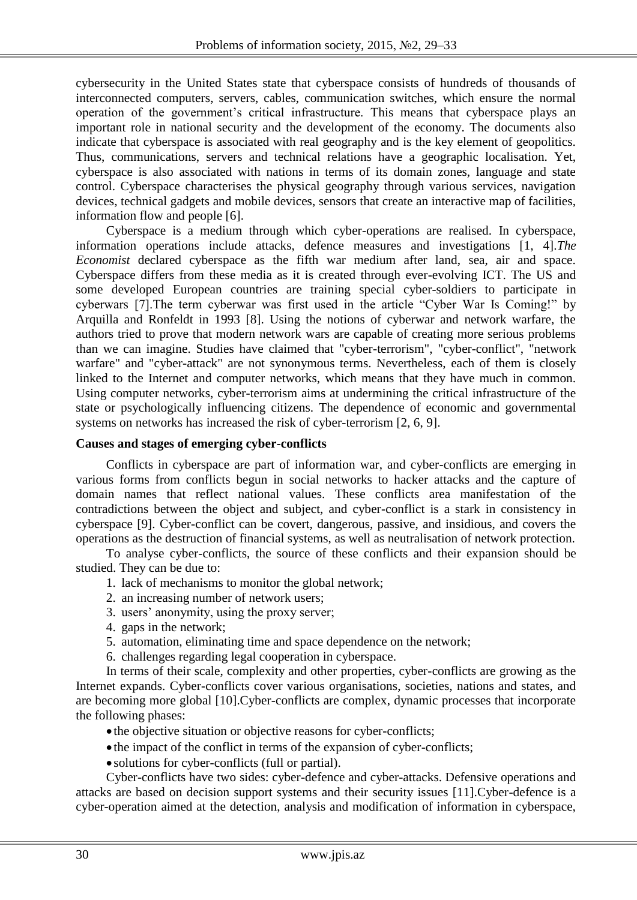cybersecurity in the United States state that cyberspace consists of hundreds of thousands of interconnected computers, servers, cables, communication switches, which ensure the normal operation of the government's critical infrastructure. This means that cyberspace plays an important role in national security and the development of the economy. The documents also indicate that cyberspace is associated with real geography and is the key element of geopolitics. Thus, communications, servers and technical relations have a geographic localisation. Yet, cyberspace is also associated with nations in terms of its domain zones, language and state control. Cyberspace characterises the physical geography through various services, navigation devices, technical gadgets and mobile devices, sensors that create an interactive map of facilities, information flow and people [6].

Cyberspace is a medium through which cyber-operations are realised. In cyberspace, information operations include attacks, defence measures and investigations [1, 4].*The Economist* declared cyberspace as the fifth war medium after land, sea, air and space. Cyberspace differs from these media as it is created through ever-evolving ICT. The US and some developed European countries are training special cyber-soldiers to participate in cyberwars [7].The term cyberwar was first used in the article "Cyber War Is Coming!" by Arquilla and Ronfeldt in 1993 [8]. Using the notions of cyberwar and network warfare, the authors tried to prove that modern network wars are capable of creating more serious problems than we can imagine. Studies have claimed that "cyber-terrorism", "cyber-conflict", "network warfare" and "cyber-attack" are not synonymous terms. Nevertheless, each of them is closely linked to the Internet and computer networks, which means that they have much in common. Using computer networks, cyber-terrorism aims at undermining the critical infrastructure of the state or psychologically influencing citizens. The dependence of economic and governmental systems on networks has increased the risk of cyber-terrorism [2, 6, 9].

#### **Causes and stages of emerging cyber-conflicts**

Conflicts in cyberspace are part of information war, and cyber-conflicts are emerging in various forms from conflicts begun in social networks to hacker attacks and the capture of domain names that reflect national values. These conflicts area manifestation of the contradictions between the object and subject, and cyber-conflict is a stark in consistency in cyberspace [9]. Cyber-conflict can be covert, dangerous, passive, and insidious, and covers the operations as the destruction of financial systems, as well as neutralisation of network protection.

To analyse cyber-conflicts, the source of these conflicts and their expansion should be studied. They can be due to:

- 1. lack of mechanisms to monitor the global network;
- 2. an increasing number of network users;
- 3. users' anonymity, using the proxy server;
- 4. gaps in the network;
- 5. automation, eliminating time and space dependence on the network;
- 6. challenges regarding legal cooperation in cyberspace.

In terms of their scale, complexity and other properties, cyber-conflicts are growing as the Internet expands. Cyber-conflicts cover various organisations, societies, nations and states, and are becoming more global [10].Cyber-conflicts are complex, dynamic processes that incorporate the following phases:

- the objective situation or objective reasons for cyber-conflicts;
- the impact of the conflict in terms of the expansion of cyber-conflicts;
- solutions for cyber-conflicts (full or partial).

Cyber-conflicts have two sides: cyber-defence and cyber-attacks. Defensive operations and attacks are based on decision support systems and their security issues [11].Cyber-defence is a cyber-operation aimed at the detection, analysis and modification of information in cyberspace,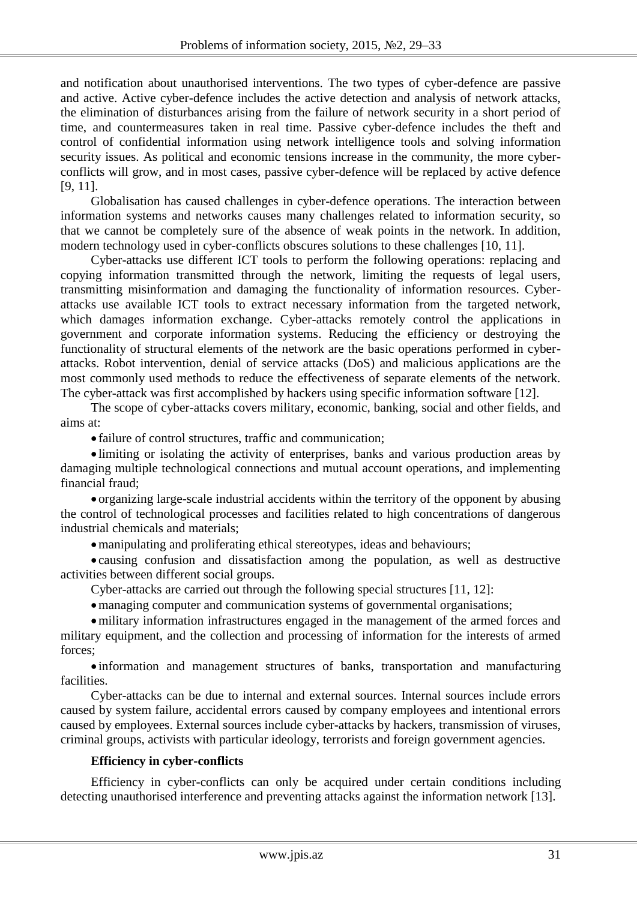and notification about unauthorised interventions. The two types of cyber-defence are passive and active. Active cyber-defence includes the active detection and analysis of network attacks, the elimination of disturbances arising from the failure of network security in a short period of time, and countermeasures taken in real time. Passive cyber-defence includes the theft and control of confidential information using network intelligence tools and solving information security issues. As political and economic tensions increase in the community, the more cyberconflicts will grow, and in most cases, passive cyber-defence will be replaced by active defence [9, 11].

Globalisation has caused challenges in cyber-defence operations. The interaction between information systems and networks causes many challenges related to information security, so that we cannot be completely sure of the absence of weak points in the network. In addition, modern technology used in cyber-conflicts obscures solutions to these challenges [10, 11].

Cyber-attacks use different ICT tools to perform the following operations: replacing and copying information transmitted through the network, limiting the requests of legal users, transmitting misinformation and damaging the functionality of information resources. Cyberattacks use available ICT tools to extract necessary information from the targeted network, which damages information exchange. Cyber-attacks remotely control the applications in government and corporate information systems. Reducing the efficiency or destroying the functionality of structural elements of the network are the basic operations performed in cyberattacks. Robot intervention, denial of service attacks (DoS) and malicious applications are the most commonly used methods to reduce the effectiveness of separate elements of the network. The cyber-attack was first accomplished by hackers using specific information software [12].

The scope of cyber-attacks covers military, economic, banking, social and other fields, and aims at:

failure of control structures, traffic and communication;

 limiting or isolating the activity of enterprises, banks and various production areas by damaging multiple technological connections and mutual account operations, and implementing financial fraud;

 organizing large-scale industrial accidents within the territory of the opponent by abusing the control of technological processes and facilities related to high concentrations of dangerous industrial chemicals and materials;

manipulating and proliferating ethical stereotypes, ideas and behaviours;

 causing confusion and dissatisfaction among the population, as well as destructive activities between different social groups.

Cyber-attacks are carried out through the following special structures [11, 12]:

managing computer and communication systems of governmental organisations;

military information infrastructures engaged in the management of the armed forces and military equipment, and the collection and processing of information for the interests of armed forces;

 information and management structures of banks, transportation and manufacturing facilities.

Cyber-attacks can be due to internal and external sources. Internal sources include errors caused by system failure, accidental errors caused by company employees and intentional errors caused by employees. External sources include cyber-attacks by hackers, transmission of viruses, criminal groups, activists with particular ideology, terrorists and foreign government agencies.

#### **Efficiency in cyber-conflicts**

Efficiency in cyber-conflicts can only be acquired under certain conditions including detecting unauthorised interference and preventing attacks against the information network [13].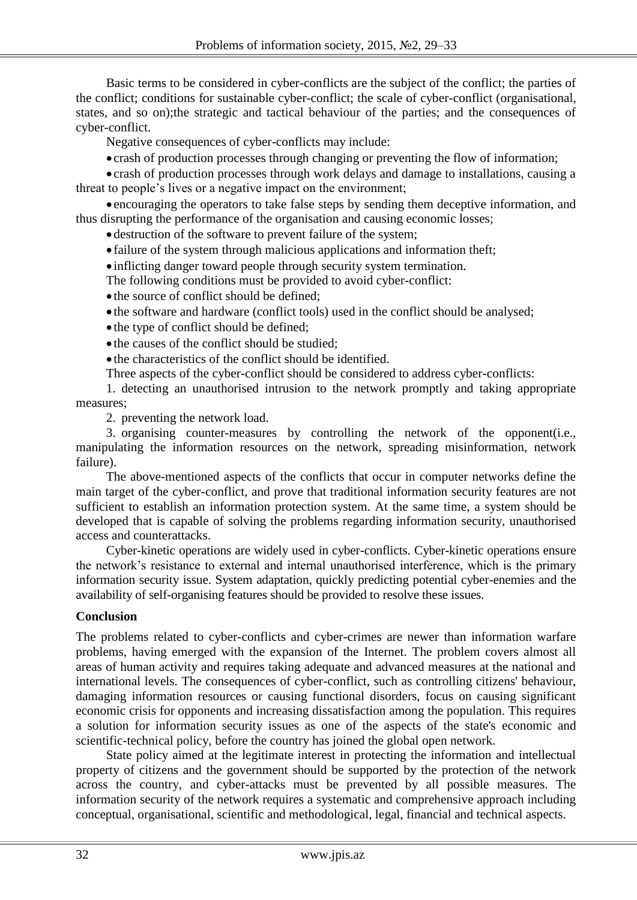Basic terms to be considered in cyber-conflicts are the subject of the conflict; the parties of the conflict; conditions for sustainable cyber-conflict; the scale of cyber-conflict (organisational, states, and so on);the strategic and tactical behaviour of the parties; and the consequences of cyber-conflict.

Negative consequences of cyber-conflicts may include:

crash of production processes through changing or preventing the flow of information;

 crash of production processes through work delays and damage to installations, causing a threat to people's lives or a negative impact on the environment;

 encouraging the operators to take false steps by sending them deceptive information, and thus disrupting the performance of the organisation and causing economic losses;

destruction of the software to prevent failure of the system;

failure of the system through malicious applications and information theft;

inflicting danger toward people through security system termination.

The following conditions must be provided to avoid cyber-conflict:

• the source of conflict should be defined;

the software and hardware (conflict tools) used in the conflict should be analysed;

• the type of conflict should be defined;

• the causes of the conflict should be studied;

• the characteristics of the conflict should be identified.

Three aspects of the cyber-conflict should be considered to address cyber-conflicts:

1. detecting an unauthorised intrusion to the network promptly and taking appropriate measures;

2. preventing the network load.

3. organising counter-measures by controlling the network of the opponent(i.e., manipulating the information resources on the network, spreading misinformation, network failure).

The above-mentioned aspects of the conflicts that occur in computer networks define the main target of the cyber-conflict, and prove that traditional information security features are not sufficient to establish an information protection system. At the same time, a system should be developed that is capable of solving the problems regarding information security, unauthorised access and counterattacks.

Cyber-kinetic operations are widely used in cyber-conflicts. Cyber-kinetic operations ensure the network's resistance to external and internal unauthorised interference, which is the primary information security issue. System adaptation, quickly predicting potential cyber-enemies and the availability of self-organising features should be provided to resolve these issues.

## **Conclusion**

The problems related to cyber-conflicts and cyber-crimes are newer than information warfare problems, having emerged with the expansion of the Internet. The problem covers almost all areas of human activity and requires taking adequate and advanced measures at the national and international levels. The consequences of cyber-conflict, such as controlling citizens' behaviour, damaging information resources or causing functional disorders, focus on causing significant economic crisis for opponents and increasing dissatisfaction among the population. This requires a solution for information security issues as one of the aspects of the state's economic and scientific-technical policy, before the country has joined the global open network.

State policy aimed at the legitimate interest in protecting the information and intellectual property of citizens and the government should be supported by the protection of the network across the country, and cyber-attacks must be prevented by all possible measures. The information security of the network requires a systematic and comprehensive approach including conceptual, organisational, scientific and methodological, legal, financial and technical aspects.